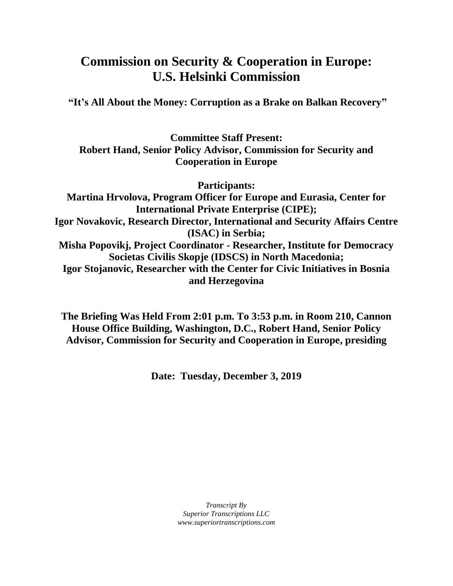# **Commission on Security & Cooperation in Europe: U.S. Helsinki Commission**

**"It's All About the Money: Corruption as a Brake on Balkan Recovery"**

**Committee Staff Present: Robert Hand, Senior Policy Advisor, Commission for Security and Cooperation in Europe**

**Participants: Martina Hrvolova, Program Officer for Europe and Eurasia, Center for International Private Enterprise (CIPE); Igor Novakovic, Research Director, International and Security Affairs Centre (ISAC) in Serbia; Misha Popovikj, Project Coordinator - Researcher, Institute for Democracy Societas Civilis Skopje (IDSCS) in North Macedonia; Igor Stojanovic, Researcher with the Center for Civic Initiatives in Bosnia and Herzegovina**

**The Briefing Was Held From 2:01 p.m. To 3:53 p.m. in Room 210, Cannon House Office Building, Washington, D.C., Robert Hand, Senior Policy Advisor, Commission for Security and Cooperation in Europe, presiding**

**Date: Tuesday, December 3, 2019**

*Transcript By Superior Transcriptions LLC www.superiortranscriptions.com*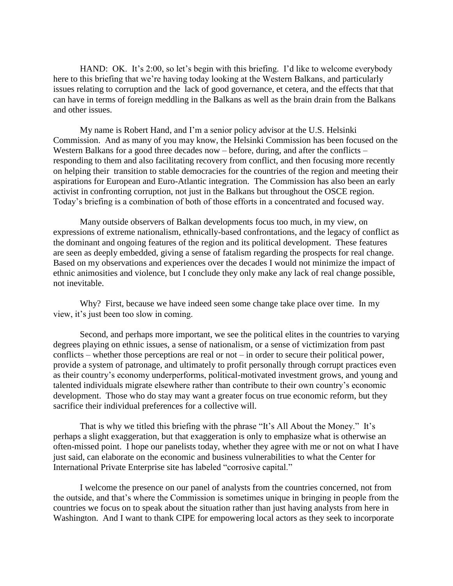HAND: OK. It's 2:00, so let's begin with this briefing. I'd like to welcome everybody here to this briefing that we're having today looking at the Western Balkans, and particularly issues relating to corruption and the lack of good governance, et cetera, and the effects that that can have in terms of foreign meddling in the Balkans as well as the brain drain from the Balkans and other issues.

My name is Robert Hand, and I'm a senior policy advisor at the U.S. Helsinki Commission. And as many of you may know, the Helsinki Commission has been focused on the Western Balkans for a good three decades now – before, during, and after the conflicts – responding to them and also facilitating recovery from conflict, and then focusing more recently on helping their transition to stable democracies for the countries of the region and meeting their aspirations for European and Euro-Atlantic integration. The Commission has also been an early activist in confronting corruption, not just in the Balkans but throughout the OSCE region. Today's briefing is a combination of both of those efforts in a concentrated and focused way.

Many outside observers of Balkan developments focus too much, in my view, on expressions of extreme nationalism, ethnically-based confrontations, and the legacy of conflict as the dominant and ongoing features of the region and its political development. These features are seen as deeply embedded, giving a sense of fatalism regarding the prospects for real change. Based on my observations and experiences over the decades I would not minimize the impact of ethnic animosities and violence, but I conclude they only make any lack of real change possible, not inevitable.

Why? First, because we have indeed seen some change take place over time. In my view, it's just been too slow in coming.

Second, and perhaps more important, we see the political elites in the countries to varying degrees playing on ethnic issues, a sense of nationalism, or a sense of victimization from past conflicts – whether those perceptions are real or not – in order to secure their political power, provide a system of patronage, and ultimately to profit personally through corrupt practices even as their country's economy underperforms, political-motivated investment grows, and young and talented individuals migrate elsewhere rather than contribute to their own country's economic development. Those who do stay may want a greater focus on true economic reform, but they sacrifice their individual preferences for a collective will.

That is why we titled this briefing with the phrase "It's All About the Money." It's perhaps a slight exaggeration, but that exaggeration is only to emphasize what is otherwise an often-missed point. I hope our panelists today, whether they agree with me or not on what I have just said, can elaborate on the economic and business vulnerabilities to what the Center for International Private Enterprise site has labeled "corrosive capital."

I welcome the presence on our panel of analysts from the countries concerned, not from the outside, and that's where the Commission is sometimes unique in bringing in people from the countries we focus on to speak about the situation rather than just having analysts from here in Washington. And I want to thank CIPE for empowering local actors as they seek to incorporate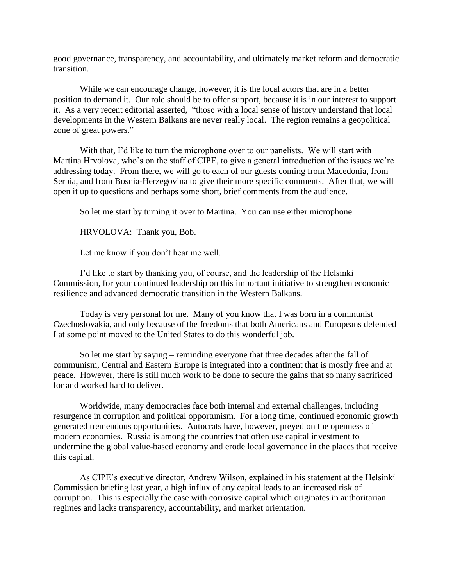good governance, transparency, and accountability, and ultimately market reform and democratic transition.

While we can encourage change, however, it is the local actors that are in a better position to demand it. Our role should be to offer support, because it is in our interest to support it. As a very recent editorial asserted, "those with a local sense of history understand that local developments in the Western Balkans are never really local. The region remains a geopolitical zone of great powers."

With that, I'd like to turn the microphone over to our panelists. We will start with Martina Hrvolova, who's on the staff of CIPE, to give a general introduction of the issues we're addressing today. From there, we will go to each of our guests coming from Macedonia, from Serbia, and from Bosnia-Herzegovina to give their more specific comments. After that, we will open it up to questions and perhaps some short, brief comments from the audience.

So let me start by turning it over to Martina. You can use either microphone.

HRVOLOVA: Thank you, Bob.

Let me know if you don't hear me well.

I'd like to start by thanking you, of course, and the leadership of the Helsinki Commission, for your continued leadership on this important initiative to strengthen economic resilience and advanced democratic transition in the Western Balkans.

Today is very personal for me. Many of you know that I was born in a communist Czechoslovakia, and only because of the freedoms that both Americans and Europeans defended I at some point moved to the United States to do this wonderful job.

So let me start by saying – reminding everyone that three decades after the fall of communism, Central and Eastern Europe is integrated into a continent that is mostly free and at peace. However, there is still much work to be done to secure the gains that so many sacrificed for and worked hard to deliver.

Worldwide, many democracies face both internal and external challenges, including resurgence in corruption and political opportunism. For a long time, continued economic growth generated tremendous opportunities. Autocrats have, however, preyed on the openness of modern economies. Russia is among the countries that often use capital investment to undermine the global value-based economy and erode local governance in the places that receive this capital.

As CIPE's executive director, Andrew Wilson, explained in his statement at the Helsinki Commission briefing last year, a high influx of any capital leads to an increased risk of corruption. This is especially the case with corrosive capital which originates in authoritarian regimes and lacks transparency, accountability, and market orientation.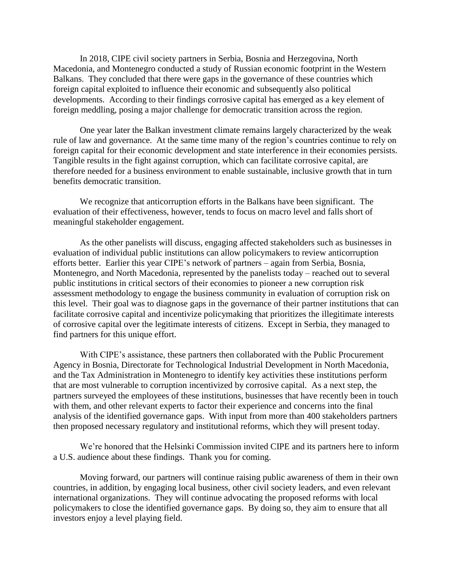In 2018, CIPE civil society partners in Serbia, Bosnia and Herzegovina, North Macedonia, and Montenegro conducted a study of Russian economic footprint in the Western Balkans. They concluded that there were gaps in the governance of these countries which foreign capital exploited to influence their economic and subsequently also political developments. According to their findings corrosive capital has emerged as a key element of foreign meddling, posing a major challenge for democratic transition across the region.

One year later the Balkan investment climate remains largely characterized by the weak rule of law and governance. At the same time many of the region's countries continue to rely on foreign capital for their economic development and state interference in their economies persists. Tangible results in the fight against corruption, which can facilitate corrosive capital, are therefore needed for a business environment to enable sustainable, inclusive growth that in turn benefits democratic transition.

We recognize that anticorruption efforts in the Balkans have been significant. The evaluation of their effectiveness, however, tends to focus on macro level and falls short of meaningful stakeholder engagement.

As the other panelists will discuss, engaging affected stakeholders such as businesses in evaluation of individual public institutions can allow policymakers to review anticorruption efforts better. Earlier this year CIPE's network of partners – again from Serbia, Bosnia, Montenegro, and North Macedonia, represented by the panelists today – reached out to several public institutions in critical sectors of their economies to pioneer a new corruption risk assessment methodology to engage the business community in evaluation of corruption risk on this level. Their goal was to diagnose gaps in the governance of their partner institutions that can facilitate corrosive capital and incentivize policymaking that prioritizes the illegitimate interests of corrosive capital over the legitimate interests of citizens. Except in Serbia, they managed to find partners for this unique effort.

With CIPE's assistance, these partners then collaborated with the Public Procurement Agency in Bosnia, Directorate for Technological Industrial Development in North Macedonia, and the Tax Administration in Montenegro to identify key activities these institutions perform that are most vulnerable to corruption incentivized by corrosive capital. As a next step, the partners surveyed the employees of these institutions, businesses that have recently been in touch with them, and other relevant experts to factor their experience and concerns into the final analysis of the identified governance gaps. With input from more than 400 stakeholders partners then proposed necessary regulatory and institutional reforms, which they will present today.

We're honored that the Helsinki Commission invited CIPE and its partners here to inform a U.S. audience about these findings. Thank you for coming.

Moving forward, our partners will continue raising public awareness of them in their own countries, in addition, by engaging local business, other civil society leaders, and even relevant international organizations. They will continue advocating the proposed reforms with local policymakers to close the identified governance gaps. By doing so, they aim to ensure that all investors enjoy a level playing field.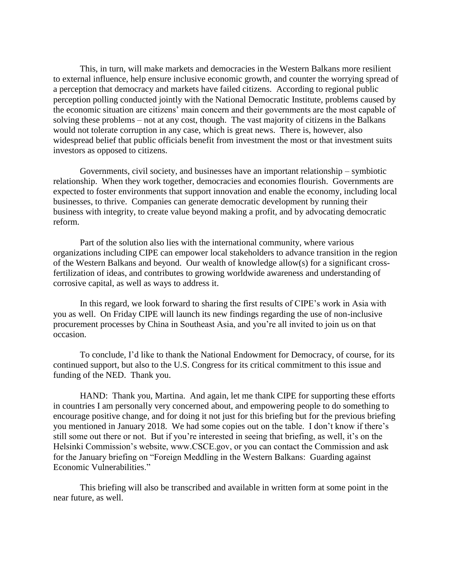This, in turn, will make markets and democracies in the Western Balkans more resilient to external influence, help ensure inclusive economic growth, and counter the worrying spread of a perception that democracy and markets have failed citizens. According to regional public perception polling conducted jointly with the National Democratic Institute, problems caused by the economic situation are citizens' main concern and their governments are the most capable of solving these problems – not at any cost, though. The vast majority of citizens in the Balkans would not tolerate corruption in any case, which is great news. There is, however, also widespread belief that public officials benefit from investment the most or that investment suits investors as opposed to citizens.

Governments, civil society, and businesses have an important relationship – symbiotic relationship. When they work together, democracies and economies flourish. Governments are expected to foster environments that support innovation and enable the economy, including local businesses, to thrive. Companies can generate democratic development by running their business with integrity, to create value beyond making a profit, and by advocating democratic reform.

Part of the solution also lies with the international community, where various organizations including CIPE can empower local stakeholders to advance transition in the region of the Western Balkans and beyond. Our wealth of knowledge allow(s) for a significant crossfertilization of ideas, and contributes to growing worldwide awareness and understanding of corrosive capital, as well as ways to address it.

In this regard, we look forward to sharing the first results of CIPE's work in Asia with you as well. On Friday CIPE will launch its new findings regarding the use of non-inclusive procurement processes by China in Southeast Asia, and you're all invited to join us on that occasion.

To conclude, I'd like to thank the National Endowment for Democracy, of course, for its continued support, but also to the U.S. Congress for its critical commitment to this issue and funding of the NED. Thank you.

HAND: Thank you, Martina. And again, let me thank CIPE for supporting these efforts in countries I am personally very concerned about, and empowering people to do something to encourage positive change, and for doing it not just for this briefing but for the previous briefing you mentioned in January 2018. We had some copies out on the table. I don't know if there's still some out there or not. But if you're interested in seeing that briefing, as well, it's on the Helsinki Commission's website, www.CSCE.gov, or you can contact the Commission and ask for the January briefing on "Foreign Meddling in the Western Balkans: Guarding against Economic Vulnerabilities."

This briefing will also be transcribed and available in written form at some point in the near future, as well.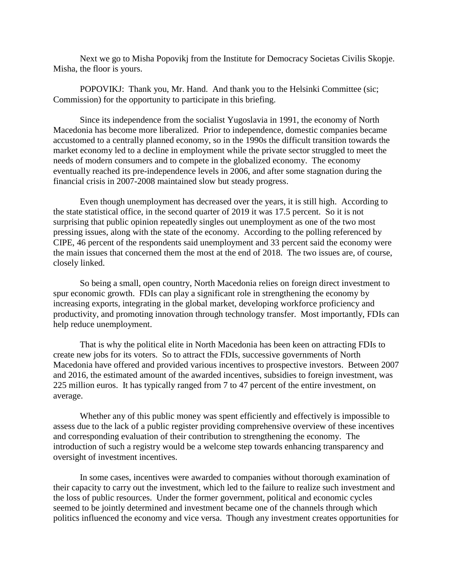Next we go to Misha Popovikj from the Institute for Democracy Societas Civilis Skopje. Misha, the floor is yours.

POPOVIKJ: Thank you, Mr. Hand. And thank you to the Helsinki Committee (sic; Commission) for the opportunity to participate in this briefing.

Since its independence from the socialist Yugoslavia in 1991, the economy of North Macedonia has become more liberalized. Prior to independence, domestic companies became accustomed to a centrally planned economy, so in the 1990s the difficult transition towards the market economy led to a decline in employment while the private sector struggled to meet the needs of modern consumers and to compete in the globalized economy. The economy eventually reached its pre-independence levels in 2006, and after some stagnation during the financial crisis in 2007-2008 maintained slow but steady progress.

Even though unemployment has decreased over the years, it is still high. According to the state statistical office, in the second quarter of 2019 it was 17.5 percent. So it is not surprising that public opinion repeatedly singles out unemployment as one of the two most pressing issues, along with the state of the economy. According to the polling referenced by CIPE, 46 percent of the respondents said unemployment and 33 percent said the economy were the main issues that concerned them the most at the end of 2018. The two issues are, of course, closely linked.

So being a small, open country, North Macedonia relies on foreign direct investment to spur economic growth. FDIs can play a significant role in strengthening the economy by increasing exports, integrating in the global market, developing workforce proficiency and productivity, and promoting innovation through technology transfer. Most importantly, FDIs can help reduce unemployment.

That is why the political elite in North Macedonia has been keen on attracting FDIs to create new jobs for its voters. So to attract the FDIs, successive governments of North Macedonia have offered and provided various incentives to prospective investors. Between 2007 and 2016, the estimated amount of the awarded incentives, subsidies to foreign investment, was 225 million euros. It has typically ranged from 7 to 47 percent of the entire investment, on average.

Whether any of this public money was spent efficiently and effectively is impossible to assess due to the lack of a public register providing comprehensive overview of these incentives and corresponding evaluation of their contribution to strengthening the economy. The introduction of such a registry would be a welcome step towards enhancing transparency and oversight of investment incentives.

In some cases, incentives were awarded to companies without thorough examination of their capacity to carry out the investment, which led to the failure to realize such investment and the loss of public resources. Under the former government, political and economic cycles seemed to be jointly determined and investment became one of the channels through which politics influenced the economy and vice versa. Though any investment creates opportunities for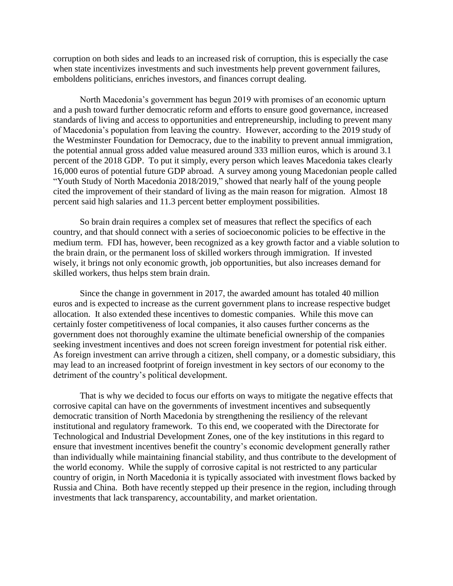corruption on both sides and leads to an increased risk of corruption, this is especially the case when state incentivizes investments and such investments help prevent government failures, emboldens politicians, enriches investors, and finances corrupt dealing.

North Macedonia's government has begun 2019 with promises of an economic upturn and a push toward further democratic reform and efforts to ensure good governance, increased standards of living and access to opportunities and entrepreneurship, including to prevent many of Macedonia's population from leaving the country. However, according to the 2019 study of the Westminster Foundation for Democracy, due to the inability to prevent annual immigration, the potential annual gross added value measured around 333 million euros, which is around 3.1 percent of the 2018 GDP. To put it simply, every person which leaves Macedonia takes clearly 16,000 euros of potential future GDP abroad. A survey among young Macedonian people called "Youth Study of North Macedonia 2018/2019," showed that nearly half of the young people cited the improvement of their standard of living as the main reason for migration. Almost 18 percent said high salaries and 11.3 percent better employment possibilities.

So brain drain requires a complex set of measures that reflect the specifics of each country, and that should connect with a series of socioeconomic policies to be effective in the medium term. FDI has, however, been recognized as a key growth factor and a viable solution to the brain drain, or the permanent loss of skilled workers through immigration. If invested wisely, it brings not only economic growth, job opportunities, but also increases demand for skilled workers, thus helps stem brain drain.

Since the change in government in 2017, the awarded amount has totaled 40 million euros and is expected to increase as the current government plans to increase respective budget allocation. It also extended these incentives to domestic companies. While this move can certainly foster competitiveness of local companies, it also causes further concerns as the government does not thoroughly examine the ultimate beneficial ownership of the companies seeking investment incentives and does not screen foreign investment for potential risk either. As foreign investment can arrive through a citizen, shell company, or a domestic subsidiary, this may lead to an increased footprint of foreign investment in key sectors of our economy to the detriment of the country's political development.

That is why we decided to focus our efforts on ways to mitigate the negative effects that corrosive capital can have on the governments of investment incentives and subsequently democratic transition of North Macedonia by strengthening the resiliency of the relevant institutional and regulatory framework. To this end, we cooperated with the Directorate for Technological and Industrial Development Zones, one of the key institutions in this regard to ensure that investment incentives benefit the country's economic development generally rather than individually while maintaining financial stability, and thus contribute to the development of the world economy. While the supply of corrosive capital is not restricted to any particular country of origin, in North Macedonia it is typically associated with investment flows backed by Russia and China. Both have recently stepped up their presence in the region, including through investments that lack transparency, accountability, and market orientation.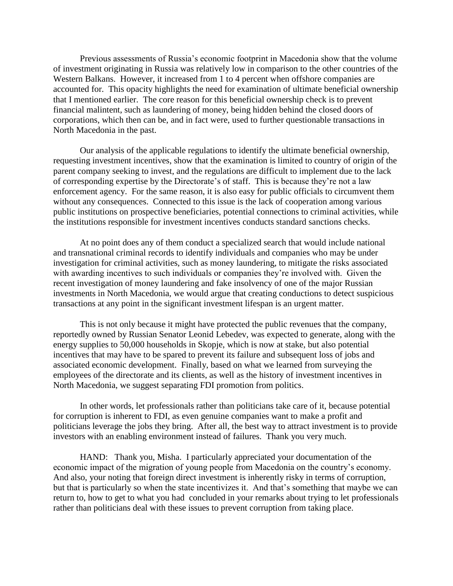Previous assessments of Russia's economic footprint in Macedonia show that the volume of investment originating in Russia was relatively low in comparison to the other countries of the Western Balkans. However, it increased from 1 to 4 percent when offshore companies are accounted for. This opacity highlights the need for examination of ultimate beneficial ownership that I mentioned earlier. The core reason for this beneficial ownership check is to prevent financial malintent, such as laundering of money, being hidden behind the closed doors of corporations, which then can be, and in fact were, used to further questionable transactions in North Macedonia in the past.

Our analysis of the applicable regulations to identify the ultimate beneficial ownership, requesting investment incentives, show that the examination is limited to country of origin of the parent company seeking to invest, and the regulations are difficult to implement due to the lack of corresponding expertise by the Directorate's of staff. This is because they're not a law enforcement agency. For the same reason, it is also easy for public officials to circumvent them without any consequences. Connected to this issue is the lack of cooperation among various public institutions on prospective beneficiaries, potential connections to criminal activities, while the institutions responsible for investment incentives conducts standard sanctions checks.

At no point does any of them conduct a specialized search that would include national and transnational criminal records to identify individuals and companies who may be under investigation for criminal activities, such as money laundering, to mitigate the risks associated with awarding incentives to such individuals or companies they're involved with. Given the recent investigation of money laundering and fake insolvency of one of the major Russian investments in North Macedonia, we would argue that creating conductions to detect suspicious transactions at any point in the significant investment lifespan is an urgent matter.

This is not only because it might have protected the public revenues that the company, reportedly owned by Russian Senator Leonid Lebedev, was expected to generate, along with the energy supplies to 50,000 households in Skopje, which is now at stake, but also potential incentives that may have to be spared to prevent its failure and subsequent loss of jobs and associated economic development. Finally, based on what we learned from surveying the employees of the directorate and its clients, as well as the history of investment incentives in North Macedonia, we suggest separating FDI promotion from politics.

In other words, let professionals rather than politicians take care of it, because potential for corruption is inherent to FDI, as even genuine companies want to make a profit and politicians leverage the jobs they bring. After all, the best way to attract investment is to provide investors with an enabling environment instead of failures. Thank you very much.

HAND: Thank you, Misha. I particularly appreciated your documentation of the economic impact of the migration of young people from Macedonia on the country's economy. And also, your noting that foreign direct investment is inherently risky in terms of corruption, but that is particularly so when the state incentivizes it. And that's something that maybe we can return to, how to get to what you had concluded in your remarks about trying to let professionals rather than politicians deal with these issues to prevent corruption from taking place.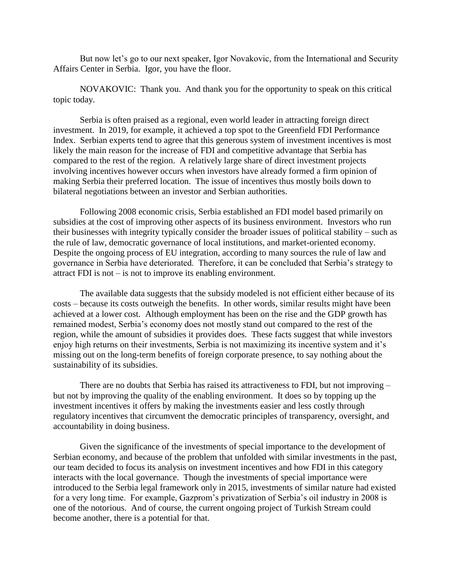But now let's go to our next speaker, Igor Novakovic, from the International and Security Affairs Center in Serbia. Igor, you have the floor.

NOVAKOVIC: Thank you. And thank you for the opportunity to speak on this critical topic today.

Serbia is often praised as a regional, even world leader in attracting foreign direct investment. In 2019, for example, it achieved a top spot to the Greenfield FDI Performance Index. Serbian experts tend to agree that this generous system of investment incentives is most likely the main reason for the increase of FDI and competitive advantage that Serbia has compared to the rest of the region. A relatively large share of direct investment projects involving incentives however occurs when investors have already formed a firm opinion of making Serbia their preferred location. The issue of incentives thus mostly boils down to bilateral negotiations between an investor and Serbian authorities.

Following 2008 economic crisis, Serbia established an FDI model based primarily on subsidies at the cost of improving other aspects of its business environment. Investors who run their businesses with integrity typically consider the broader issues of political stability – such as the rule of law, democratic governance of local institutions, and market-oriented economy. Despite the ongoing process of EU integration, according to many sources the rule of law and governance in Serbia have deteriorated. Therefore, it can be concluded that Serbia's strategy to attract FDI is not – is not to improve its enabling environment.

The available data suggests that the subsidy modeled is not efficient either because of its costs – because its costs outweigh the benefits. In other words, similar results might have been achieved at a lower cost. Although employment has been on the rise and the GDP growth has remained modest, Serbia's economy does not mostly stand out compared to the rest of the region, while the amount of subsidies it provides does. These facts suggest that while investors enjoy high returns on their investments, Serbia is not maximizing its incentive system and it's missing out on the long-term benefits of foreign corporate presence, to say nothing about the sustainability of its subsidies.

There are no doubts that Serbia has raised its attractiveness to FDI, but not improving – but not by improving the quality of the enabling environment. It does so by topping up the investment incentives it offers by making the investments easier and less costly through regulatory incentives that circumvent the democratic principles of transparency, oversight, and accountability in doing business.

Given the significance of the investments of special importance to the development of Serbian economy, and because of the problem that unfolded with similar investments in the past, our team decided to focus its analysis on investment incentives and how FDI in this category interacts with the local governance. Though the investments of special importance were introduced to the Serbia legal framework only in 2015, investments of similar nature had existed for a very long time. For example, Gazprom's privatization of Serbia's oil industry in 2008 is one of the notorious. And of course, the current ongoing project of Turkish Stream could become another, there is a potential for that.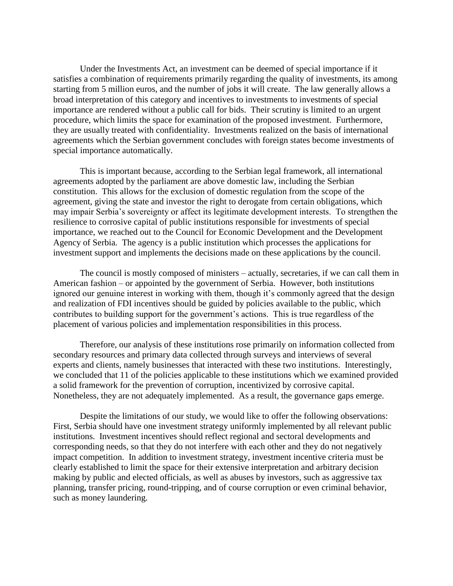Under the Investments Act, an investment can be deemed of special importance if it satisfies a combination of requirements primarily regarding the quality of investments, its among starting from 5 million euros, and the number of jobs it will create. The law generally allows a broad interpretation of this category and incentives to investments to investments of special importance are rendered without a public call for bids. Their scrutiny is limited to an urgent procedure, which limits the space for examination of the proposed investment. Furthermore, they are usually treated with confidentiality. Investments realized on the basis of international agreements which the Serbian government concludes with foreign states become investments of special importance automatically.

This is important because, according to the Serbian legal framework, all international agreements adopted by the parliament are above domestic law, including the Serbian constitution. This allows for the exclusion of domestic regulation from the scope of the agreement, giving the state and investor the right to derogate from certain obligations, which may impair Serbia's sovereignty or affect its legitimate development interests. To strengthen the resilience to corrosive capital of public institutions responsible for investments of special importance, we reached out to the Council for Economic Development and the Development Agency of Serbia. The agency is a public institution which processes the applications for investment support and implements the decisions made on these applications by the council.

The council is mostly composed of ministers – actually, secretaries, if we can call them in American fashion – or appointed by the government of Serbia. However, both institutions ignored our genuine interest in working with them, though it's commonly agreed that the design and realization of FDI incentives should be guided by policies available to the public, which contributes to building support for the government's actions. This is true regardless of the placement of various policies and implementation responsibilities in this process.

Therefore, our analysis of these institutions rose primarily on information collected from secondary resources and primary data collected through surveys and interviews of several experts and clients, namely businesses that interacted with these two institutions. Interestingly, we concluded that 11 of the policies applicable to these institutions which we examined provided a solid framework for the prevention of corruption, incentivized by corrosive capital. Nonetheless, they are not adequately implemented. As a result, the governance gaps emerge.

Despite the limitations of our study, we would like to offer the following observations: First, Serbia should have one investment strategy uniformly implemented by all relevant public institutions. Investment incentives should reflect regional and sectoral developments and corresponding needs, so that they do not interfere with each other and they do not negatively impact competition. In addition to investment strategy, investment incentive criteria must be clearly established to limit the space for their extensive interpretation and arbitrary decision making by public and elected officials, as well as abuses by investors, such as aggressive tax planning, transfer pricing, round-tripping, and of course corruption or even criminal behavior, such as money laundering.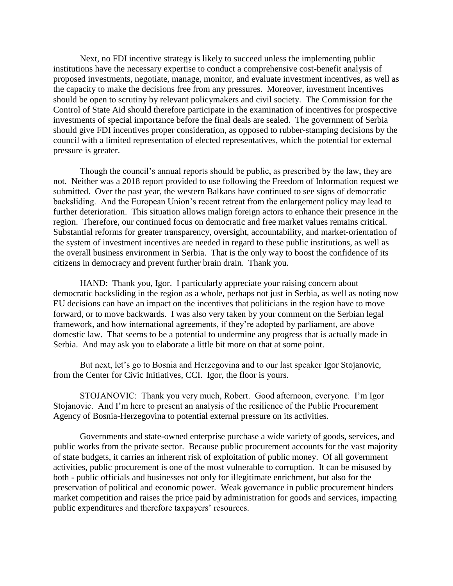Next, no FDI incentive strategy is likely to succeed unless the implementing public institutions have the necessary expertise to conduct a comprehensive cost-benefit analysis of proposed investments, negotiate, manage, monitor, and evaluate investment incentives, as well as the capacity to make the decisions free from any pressures. Moreover, investment incentives should be open to scrutiny by relevant policymakers and civil society. The Commission for the Control of State Aid should therefore participate in the examination of incentives for prospective investments of special importance before the final deals are sealed. The government of Serbia should give FDI incentives proper consideration, as opposed to rubber-stamping decisions by the council with a limited representation of elected representatives, which the potential for external pressure is greater.

Though the council's annual reports should be public, as prescribed by the law, they are not. Neither was a 2018 report provided to use following the Freedom of Information request we submitted. Over the past year, the western Balkans have continued to see signs of democratic backsliding. And the European Union's recent retreat from the enlargement policy may lead to further deterioration. This situation allows malign foreign actors to enhance their presence in the region. Therefore, our continued focus on democratic and free market values remains critical. Substantial reforms for greater transparency, oversight, accountability, and market-orientation of the system of investment incentives are needed in regard to these public institutions, as well as the overall business environment in Serbia. That is the only way to boost the confidence of its citizens in democracy and prevent further brain drain. Thank you.

HAND: Thank you, Igor. I particularly appreciate your raising concern about democratic backsliding in the region as a whole, perhaps not just in Serbia, as well as noting now EU decisions can have an impact on the incentives that politicians in the region have to move forward, or to move backwards. I was also very taken by your comment on the Serbian legal framework, and how international agreements, if they're adopted by parliament, are above domestic law. That seems to be a potential to undermine any progress that is actually made in Serbia. And may ask you to elaborate a little bit more on that at some point.

But next, let's go to Bosnia and Herzegovina and to our last speaker Igor Stojanovic, from the Center for Civic Initiatives, CCI. Igor, the floor is yours.

STOJANOVIC: Thank you very much, Robert. Good afternoon, everyone. I'm Igor Stojanovic. And I'm here to present an analysis of the resilience of the Public Procurement Agency of Bosnia-Herzegovina to potential external pressure on its activities.

Governments and state-owned enterprise purchase a wide variety of goods, services, and public works from the private sector. Because public procurement accounts for the vast majority of state budgets, it carries an inherent risk of exploitation of public money. Of all government activities, public procurement is one of the most vulnerable to corruption. It can be misused by both - public officials and businesses not only for illegitimate enrichment, but also for the preservation of political and economic power. Weak governance in public procurement hinders market competition and raises the price paid by administration for goods and services, impacting public expenditures and therefore taxpayers' resources.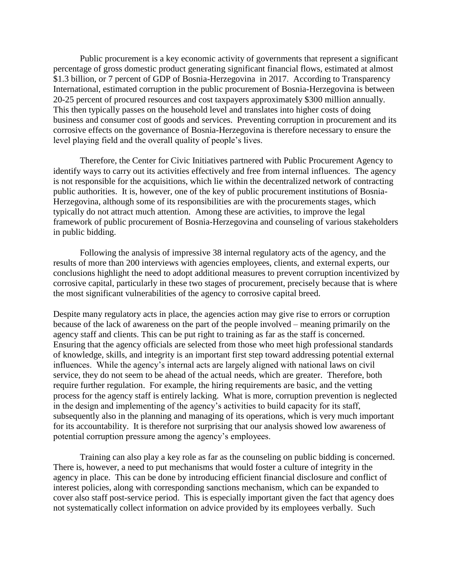Public procurement is a key economic activity of governments that represent a significant percentage of gross domestic product generating significant financial flows, estimated at almost \$1.3 billion, or 7 percent of GDP of Bosnia-Herzegovina in 2017. According to Transparency International, estimated corruption in the public procurement of Bosnia-Herzegovina is between 20-25 percent of procured resources and cost taxpayers approximately \$300 million annually. This then typically passes on the household level and translates into higher costs of doing business and consumer cost of goods and services. Preventing corruption in procurement and its corrosive effects on the governance of Bosnia-Herzegovina is therefore necessary to ensure the level playing field and the overall quality of people's lives.

Therefore, the Center for Civic Initiatives partnered with Public Procurement Agency to identify ways to carry out its activities effectively and free from internal influences. The agency is not responsible for the acquisitions, which lie within the decentralized network of contracting public authorities. It is, however, one of the key of public procurement institutions of Bosnia-Herzegovina, although some of its responsibilities are with the procurements stages, which typically do not attract much attention. Among these are activities, to improve the legal framework of public procurement of Bosnia-Herzegovina and counseling of various stakeholders in public bidding.

Following the analysis of impressive 38 internal regulatory acts of the agency, and the results of more than 200 interviews with agencies employees, clients, and external experts, our conclusions highlight the need to adopt additional measures to prevent corruption incentivized by corrosive capital, particularly in these two stages of procurement, precisely because that is where the most significant vulnerabilities of the agency to corrosive capital breed.

Despite many regulatory acts in place, the agencies action may give rise to errors or corruption because of the lack of awareness on the part of the people involved – meaning primarily on the agency staff and clients. This can be put right to training as far as the staff is concerned. Ensuring that the agency officials are selected from those who meet high professional standards of knowledge, skills, and integrity is an important first step toward addressing potential external influences. While the agency's internal acts are largely aligned with national laws on civil service, they do not seem to be ahead of the actual needs, which are greater. Therefore, both require further regulation. For example, the hiring requirements are basic, and the vetting process for the agency staff is entirely lacking. What is more, corruption prevention is neglected in the design and implementing of the agency's activities to build capacity for its staff, subsequently also in the planning and managing of its operations, which is very much important for its accountability. It is therefore not surprising that our analysis showed low awareness of potential corruption pressure among the agency's employees.

Training can also play a key role as far as the counseling on public bidding is concerned. There is, however, a need to put mechanisms that would foster a culture of integrity in the agency in place. This can be done by introducing efficient financial disclosure and conflict of interest policies, along with corresponding sanctions mechanism, which can be expanded to cover also staff post-service period. This is especially important given the fact that agency does not systematically collect information on advice provided by its employees verbally. Such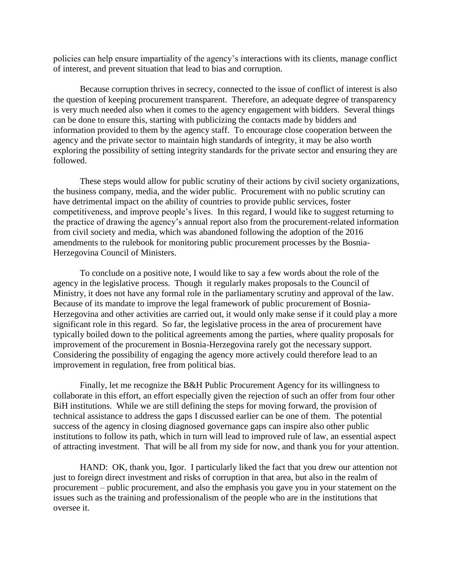policies can help ensure impartiality of the agency's interactions with its clients, manage conflict of interest, and prevent situation that lead to bias and corruption.

Because corruption thrives in secrecy, connected to the issue of conflict of interest is also the question of keeping procurement transparent. Therefore, an adequate degree of transparency is very much needed also when it comes to the agency engagement with bidders. Several things can be done to ensure this, starting with publicizing the contacts made by bidders and information provided to them by the agency staff. To encourage close cooperation between the agency and the private sector to maintain high standards of integrity, it may be also worth exploring the possibility of setting integrity standards for the private sector and ensuring they are followed.

These steps would allow for public scrutiny of their actions by civil society organizations, the business company, media, and the wider public. Procurement with no public scrutiny can have detrimental impact on the ability of countries to provide public services, foster competitiveness, and improve people's lives. In this regard, I would like to suggest returning to the practice of drawing the agency's annual report also from the procurement-related information from civil society and media, which was abandoned following the adoption of the 2016 amendments to the rulebook for monitoring public procurement processes by the Bosnia-Herzegovina Council of Ministers.

To conclude on a positive note, I would like to say a few words about the role of the agency in the legislative process. Though it regularly makes proposals to the Council of Ministry, it does not have any formal role in the parliamentary scrutiny and approval of the law. Because of its mandate to improve the legal framework of public procurement of Bosnia-Herzegovina and other activities are carried out, it would only make sense if it could play a more significant role in this regard. So far, the legislative process in the area of procurement have typically boiled down to the political agreements among the parties, where quality proposals for improvement of the procurement in Bosnia-Herzegovina rarely got the necessary support. Considering the possibility of engaging the agency more actively could therefore lead to an improvement in regulation, free from political bias.

Finally, let me recognize the B&H Public Procurement Agency for its willingness to collaborate in this effort, an effort especially given the rejection of such an offer from four other BiH institutions. While we are still defining the steps for moving forward, the provision of technical assistance to address the gaps I discussed earlier can be one of them. The potential success of the agency in closing diagnosed governance gaps can inspire also other public institutions to follow its path, which in turn will lead to improved rule of law, an essential aspect of attracting investment. That will be all from my side for now, and thank you for your attention.

HAND: OK, thank you, Igor. I particularly liked the fact that you drew our attention not just to foreign direct investment and risks of corruption in that area, but also in the realm of procurement – public procurement, and also the emphasis you gave you in your statement on the issues such as the training and professionalism of the people who are in the institutions that oversee it.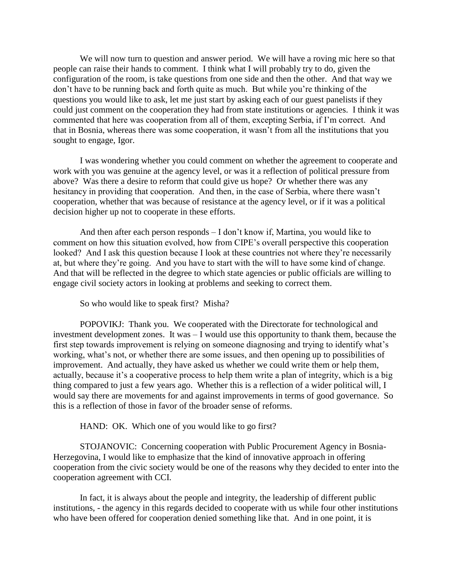We will now turn to question and answer period. We will have a roving mic here so that people can raise their hands to comment. I think what I will probably try to do, given the configuration of the room, is take questions from one side and then the other. And that way we don't have to be running back and forth quite as much. But while you're thinking of the questions you would like to ask, let me just start by asking each of our guest panelists if they could just comment on the cooperation they had from state institutions or agencies. I think it was commented that here was cooperation from all of them, excepting Serbia, if I'm correct. And that in Bosnia, whereas there was some cooperation, it wasn't from all the institutions that you sought to engage, Igor.

I was wondering whether you could comment on whether the agreement to cooperate and work with you was genuine at the agency level, or was it a reflection of political pressure from above? Was there a desire to reform that could give us hope? Or whether there was any hesitancy in providing that cooperation. And then, in the case of Serbia, where there wasn't cooperation, whether that was because of resistance at the agency level, or if it was a political decision higher up not to cooperate in these efforts.

And then after each person responds – I don't know if, Martina, you would like to comment on how this situation evolved, how from CIPE's overall perspective this cooperation looked? And I ask this question because I look at these countries not where they're necessarily at, but where they're going. And you have to start with the will to have some kind of change. And that will be reflected in the degree to which state agencies or public officials are willing to engage civil society actors in looking at problems and seeking to correct them.

So who would like to speak first? Misha?

POPOVIKJ: Thank you. We cooperated with the Directorate for technological and investment development zones. It was – I would use this opportunity to thank them, because the first step towards improvement is relying on someone diagnosing and trying to identify what's working, what's not, or whether there are some issues, and then opening up to possibilities of improvement. And actually, they have asked us whether we could write them or help them, actually, because it's a cooperative process to help them write a plan of integrity, which is a big thing compared to just a few years ago. Whether this is a reflection of a wider political will, I would say there are movements for and against improvements in terms of good governance. So this is a reflection of those in favor of the broader sense of reforms.

HAND: OK. Which one of you would like to go first?

STOJANOVIC: Concerning cooperation with Public Procurement Agency in Bosnia-Herzegovina, I would like to emphasize that the kind of innovative approach in offering cooperation from the civic society would be one of the reasons why they decided to enter into the cooperation agreement with CCI.

In fact, it is always about the people and integrity, the leadership of different public institutions, - the agency in this regards decided to cooperate with us while four other institutions who have been offered for cooperation denied something like that. And in one point, it is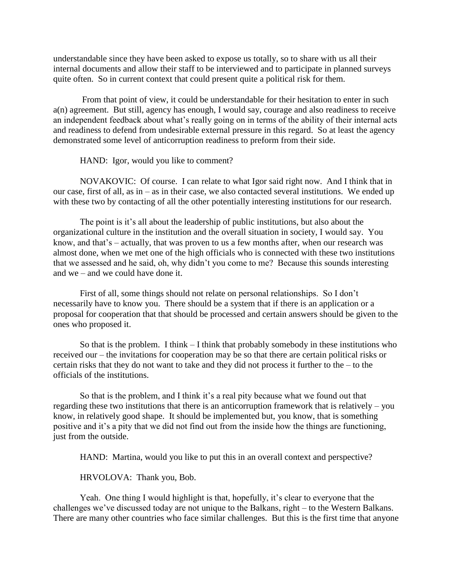understandable since they have been asked to expose us totally, so to share with us all their internal documents and allow their staff to be interviewed and to participate in planned surveys quite often. So in current context that could present quite a political risk for them.

From that point of view, it could be understandable for their hesitation to enter in such a(n) agreement. But still, agency has enough, I would say, courage and also readiness to receive an independent feedback about what's really going on in terms of the ability of their internal acts and readiness to defend from undesirable external pressure in this regard. So at least the agency demonstrated some level of anticorruption readiness to preform from their side.

HAND: Igor, would you like to comment?

NOVAKOVIC: Of course. I can relate to what Igor said right now. And I think that in our case, first of all, as in – as in their case, we also contacted several institutions. We ended up with these two by contacting of all the other potentially interesting institutions for our research.

The point is it's all about the leadership of public institutions, but also about the organizational culture in the institution and the overall situation in society, I would say. You know, and that's – actually, that was proven to us a few months after, when our research was almost done, when we met one of the high officials who is connected with these two institutions that we assessed and he said, oh, why didn't you come to me? Because this sounds interesting and we – and we could have done it.

First of all, some things should not relate on personal relationships. So I don't necessarily have to know you. There should be a system that if there is an application or a proposal for cooperation that that should be processed and certain answers should be given to the ones who proposed it.

So that is the problem. I think  $-I$  think that probably somebody in these institutions who received our – the invitations for cooperation may be so that there are certain political risks or certain risks that they do not want to take and they did not process it further to the – to the officials of the institutions.

So that is the problem, and I think it's a real pity because what we found out that regarding these two institutions that there is an anticorruption framework that is relatively – you know, in relatively good shape. It should be implemented but, you know, that is something positive and it's a pity that we did not find out from the inside how the things are functioning, just from the outside.

HAND: Martina, would you like to put this in an overall context and perspective?

HRVOLOVA: Thank you, Bob.

Yeah. One thing I would highlight is that, hopefully, it's clear to everyone that the challenges we've discussed today are not unique to the Balkans, right – to the Western Balkans. There are many other countries who face similar challenges. But this is the first time that anyone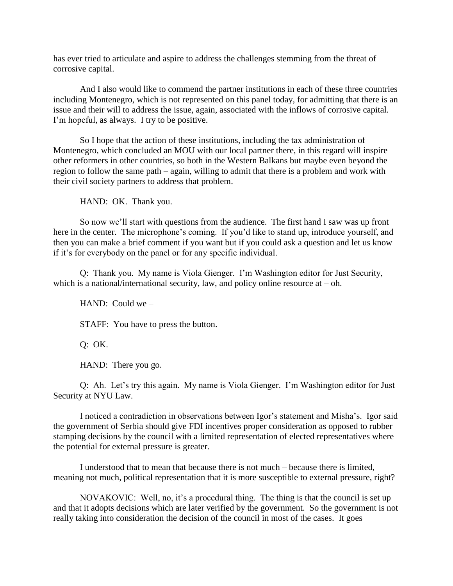has ever tried to articulate and aspire to address the challenges stemming from the threat of corrosive capital.

And I also would like to commend the partner institutions in each of these three countries including Montenegro, which is not represented on this panel today, for admitting that there is an issue and their will to address the issue, again, associated with the inflows of corrosive capital. I'm hopeful, as always. I try to be positive.

So I hope that the action of these institutions, including the tax administration of Montenegro, which concluded an MOU with our local partner there, in this regard will inspire other reformers in other countries, so both in the Western Balkans but maybe even beyond the region to follow the same path – again, willing to admit that there is a problem and work with their civil society partners to address that problem.

HAND: OK. Thank you.

So now we'll start with questions from the audience. The first hand I saw was up front here in the center. The microphone's coming. If you'd like to stand up, introduce yourself, and then you can make a brief comment if you want but if you could ask a question and let us know if it's for everybody on the panel or for any specific individual.

Q: Thank you. My name is Viola Gienger. I'm Washington editor for Just Security, which is a national/international security, law, and policy online resource at  $-$  oh.

HAND: Could we –

STAFF: You have to press the button.

Q: OK.

HAND: There you go.

Q: Ah. Let's try this again. My name is Viola Gienger. I'm Washington editor for Just Security at NYU Law.

I noticed a contradiction in observations between Igor's statement and Misha's. Igor said the government of Serbia should give FDI incentives proper consideration as opposed to rubber stamping decisions by the council with a limited representation of elected representatives where the potential for external pressure is greater.

I understood that to mean that because there is not much – because there is limited, meaning not much, political representation that it is more susceptible to external pressure, right?

NOVAKOVIC: Well, no, it's a procedural thing. The thing is that the council is set up and that it adopts decisions which are later verified by the government. So the government is not really taking into consideration the decision of the council in most of the cases. It goes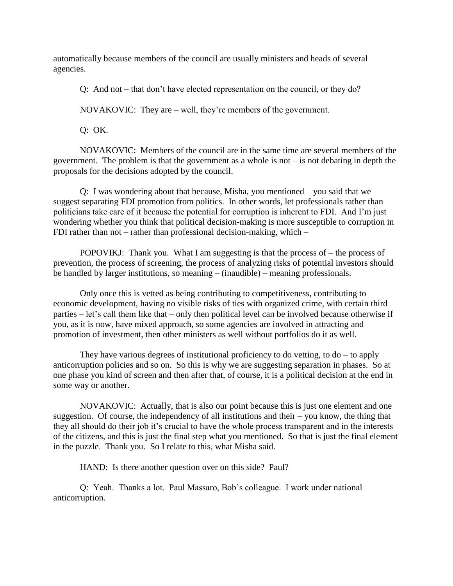automatically because members of the council are usually ministers and heads of several agencies.

Q: And not – that don't have elected representation on the council, or they do?

NOVAKOVIC: They are – well, they're members of the government.

Q: OK.

NOVAKOVIC: Members of the council are in the same time are several members of the government. The problem is that the government as a whole is not  $-$  is not debating in depth the proposals for the decisions adopted by the council.

Q: I was wondering about that because, Misha, you mentioned – you said that we suggest separating FDI promotion from politics. In other words, let professionals rather than politicians take care of it because the potential for corruption is inherent to FDI. And I'm just wondering whether you think that political decision-making is more susceptible to corruption in FDI rather than not – rather than professional decision-making, which –

POPOVIKJ: Thank you. What I am suggesting is that the process of – the process of prevention, the process of screening, the process of analyzing risks of potential investors should be handled by larger institutions, so meaning – (inaudible) – meaning professionals.

Only once this is vetted as being contributing to competitiveness, contributing to economic development, having no visible risks of ties with organized crime, with certain third parties – let's call them like that – only then political level can be involved because otherwise if you, as it is now, have mixed approach, so some agencies are involved in attracting and promotion of investment, then other ministers as well without portfolios do it as well.

They have various degrees of institutional proficiency to do vetting, to  $d\sigma - t\sigma$  apply anticorruption policies and so on. So this is why we are suggesting separation in phases. So at one phase you kind of screen and then after that, of course, it is a political decision at the end in some way or another.

NOVAKOVIC: Actually, that is also our point because this is just one element and one suggestion. Of course, the independency of all institutions and their – you know, the thing that they all should do their job it's crucial to have the whole process transparent and in the interests of the citizens, and this is just the final step what you mentioned. So that is just the final element in the puzzle. Thank you. So I relate to this, what Misha said.

HAND: Is there another question over on this side? Paul?

Q: Yeah. Thanks a lot. Paul Massaro, Bob's colleague. I work under national anticorruption.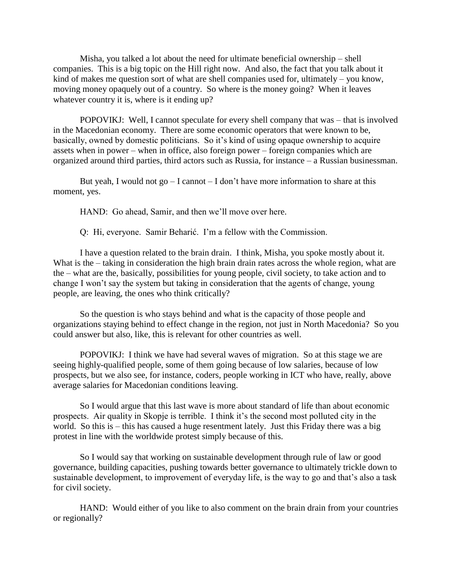Misha, you talked a lot about the need for ultimate beneficial ownership – shell companies. This is a big topic on the Hill right now. And also, the fact that you talk about it kind of makes me question sort of what are shell companies used for, ultimately – you know, moving money opaquely out of a country. So where is the money going? When it leaves whatever country it is, where is it ending up?

POPOVIKJ: Well, I cannot speculate for every shell company that was – that is involved in the Macedonian economy. There are some economic operators that were known to be, basically, owned by domestic politicians. So it's kind of using opaque ownership to acquire assets when in power – when in office, also foreign power – foreign companies which are organized around third parties, third actors such as Russia, for instance – a Russian businessman.

But yeah, I would not  $go - I$  cannot  $-I$  don't have more information to share at this moment, yes.

HAND: Go ahead, Samir, and then we'll move over here.

Q: Hi, everyone. Samir Beharić. I'm a fellow with the Commission.

I have a question related to the brain drain. I think, Misha, you spoke mostly about it. What is the – taking in consideration the high brain drain rates across the whole region, what are the – what are the, basically, possibilities for young people, civil society, to take action and to change I won't say the system but taking in consideration that the agents of change, young people, are leaving, the ones who think critically?

So the question is who stays behind and what is the capacity of those people and organizations staying behind to effect change in the region, not just in North Macedonia? So you could answer but also, like, this is relevant for other countries as well.

POPOVIKJ: I think we have had several waves of migration. So at this stage we are seeing highly-qualified people, some of them going because of low salaries, because of low prospects, but we also see, for instance, coders, people working in ICT who have, really, above average salaries for Macedonian conditions leaving.

So I would argue that this last wave is more about standard of life than about economic prospects. Air quality in Skopje is terrible. I think it's the second most polluted city in the world. So this is – this has caused a huge resentment lately. Just this Friday there was a big protest in line with the worldwide protest simply because of this.

So I would say that working on sustainable development through rule of law or good governance, building capacities, pushing towards better governance to ultimately trickle down to sustainable development, to improvement of everyday life, is the way to go and that's also a task for civil society.

HAND: Would either of you like to also comment on the brain drain from your countries or regionally?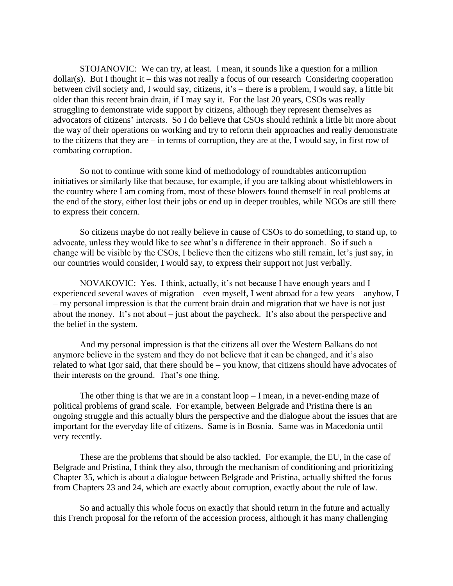STOJANOVIC: We can try, at least. I mean, it sounds like a question for a million  $dollar(s)$ . But I thought it – this was not really a focus of our research Considering cooperation between civil society and, I would say, citizens, it's – there is a problem, I would say, a little bit older than this recent brain drain, if I may say it. For the last 20 years, CSOs was really struggling to demonstrate wide support by citizens, although they represent themselves as advocators of citizens' interests. So I do believe that CSOs should rethink a little bit more about the way of their operations on working and try to reform their approaches and really demonstrate to the citizens that they are – in terms of corruption, they are at the, I would say, in first row of combating corruption.

So not to continue with some kind of methodology of roundtables anticorruption initiatives or similarly like that because, for example, if you are talking about whistleblowers in the country where I am coming from, most of these blowers found themself in real problems at the end of the story, either lost their jobs or end up in deeper troubles, while NGOs are still there to express their concern.

So citizens maybe do not really believe in cause of CSOs to do something, to stand up, to advocate, unless they would like to see what's a difference in their approach. So if such a change will be visible by the CSOs, I believe then the citizens who still remain, let's just say, in our countries would consider, I would say, to express their support not just verbally.

NOVAKOVIC: Yes. I think, actually, it's not because I have enough years and I experienced several waves of migration – even myself, I went abroad for a few years – anyhow, I – my personal impression is that the current brain drain and migration that we have is not just about the money. It's not about – just about the paycheck. It's also about the perspective and the belief in the system.

And my personal impression is that the citizens all over the Western Balkans do not anymore believe in the system and they do not believe that it can be changed, and it's also related to what Igor said, that there should be – you know, that citizens should have advocates of their interests on the ground. That's one thing.

The other thing is that we are in a constant  $loop-I$  mean, in a never-ending maze of political problems of grand scale. For example, between Belgrade and Pristina there is an ongoing struggle and this actually blurs the perspective and the dialogue about the issues that are important for the everyday life of citizens. Same is in Bosnia. Same was in Macedonia until very recently.

These are the problems that should be also tackled. For example, the EU, in the case of Belgrade and Pristina, I think they also, through the mechanism of conditioning and prioritizing Chapter 35, which is about a dialogue between Belgrade and Pristina, actually shifted the focus from Chapters 23 and 24, which are exactly about corruption, exactly about the rule of law.

So and actually this whole focus on exactly that should return in the future and actually this French proposal for the reform of the accession process, although it has many challenging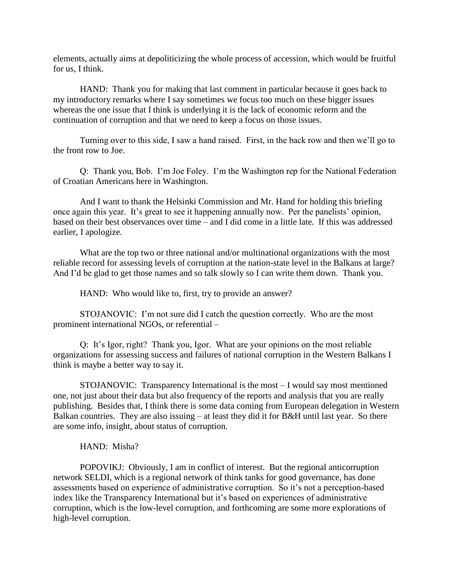elements, actually aims at depoliticizing the whole process of accession, which would be fruitful for us, I think.

HAND: Thank you for making that last comment in particular because it goes back to my introductory remarks where I say sometimes we focus too much on these bigger issues whereas the one issue that I think is underlying it is the lack of economic reform and the continuation of corruption and that we need to keep a focus on those issues.

Turning over to this side, I saw a hand raised. First, in the back row and then we'll go to the front row to Joe.

Q: Thank you, Bob. I'm Joe Foley. I'm the Washington rep for the National Federation of Croatian Americans here in Washington.

And I want to thank the Helsinki Commission and Mr. Hand for holding this briefing once again this year. It's great to see it happening annually now. Per the panelists' opinion, based on their best observances over time – and I did come in a little late. If this was addressed earlier, I apologize.

What are the top two or three national and/or multinational organizations with the most reliable record for assessing levels of corruption at the nation-state level in the Balkans at large? And I'd be glad to get those names and so talk slowly so I can write them down. Thank you.

HAND: Who would like to, first, try to provide an answer?

STOJANOVIC: I'm not sure did I catch the question correctly. Who are the most prominent international NGOs, or referential –

Q: It's Igor, right? Thank you, Igor. What are your opinions on the most reliable organizations for assessing success and failures of national corruption in the Western Balkans I think is maybe a better way to say it.

STOJANOVIC: Transparency International is the most – I would say most mentioned one, not just about their data but also frequency of the reports and analysis that you are really publishing. Besides that, I think there is some data coming from European delegation in Western Balkan countries. They are also issuing – at least they did it for  $B\&H$  until last year. So there are some info, insight, about status of corruption.

# HAND: Misha?

POPOVIKJ: Obviously, I am in conflict of interest. But the regional anticorruption network SELDI, which is a regional network of think tanks for good governance, has done assessments based on experience of administrative corruption. So it's not a perception-based index like the Transparency International but it's based on experiences of administrative corruption, which is the low-level corruption, and forthcoming are some more explorations of high-level corruption.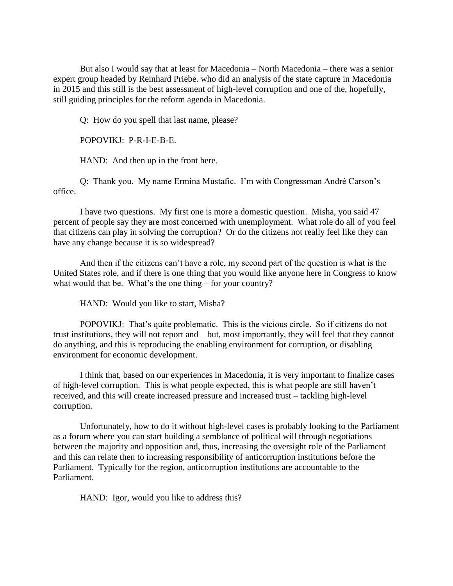But also I would say that at least for Macedonia – North Macedonia – there was a senior expert group headed by Reinhard Priebe. who did an analysis of the state capture in Macedonia in 2015 and this still is the best assessment of high-level corruption and one of the, hopefully, still guiding principles for the reform agenda in Macedonia.

Q: How do you spell that last name, please?

POPOVIKJ: P-R-I-E-B-E.

HAND: And then up in the front here.

Q: Thank you. My name Ermina Mustafic. I'm with Congressman André Carson's office.

I have two questions. My first one is more a domestic question. Misha, you said 47 percent of people say they are most concerned with unemployment. What role do all of you feel that citizens can play in solving the corruption? Or do the citizens not really feel like they can have any change because it is so widespread?

And then if the citizens can't have a role, my second part of the question is what is the United States role, and if there is one thing that you would like anyone here in Congress to know what would that be. What's the one thing – for your country?

HAND: Would you like to start, Misha?

POPOVIKJ: That's quite problematic. This is the vicious circle. So if citizens do not trust institutions, they will not report and – but, most importantly, they will feel that they cannot do anything, and this is reproducing the enabling environment for corruption, or disabling environment for economic development.

I think that, based on our experiences in Macedonia, it is very important to finalize cases of high-level corruption. This is what people expected, this is what people are still haven't received, and this will create increased pressure and increased trust – tackling high-level corruption.

Unfortunately, how to do it without high-level cases is probably looking to the Parliament as a forum where you can start building a semblance of political will through negotiations between the majority and opposition and, thus, increasing the oversight role of the Parliament and this can relate then to increasing responsibility of anticorruption institutions before the Parliament. Typically for the region, anticorruption institutions are accountable to the Parliament.

HAND: Igor, would you like to address this?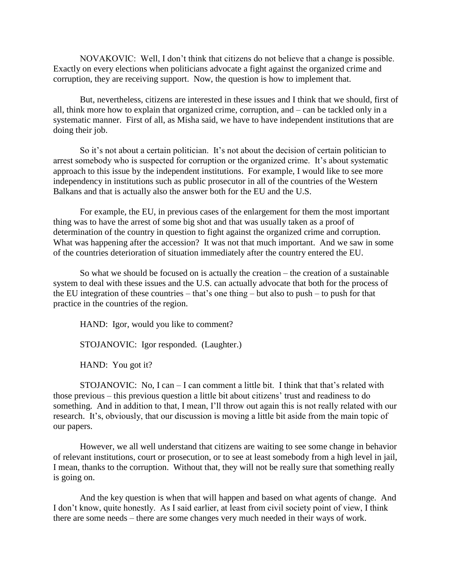NOVAKOVIC: Well, I don't think that citizens do not believe that a change is possible. Exactly on every elections when politicians advocate a fight against the organized crime and corruption, they are receiving support. Now, the question is how to implement that.

But, nevertheless, citizens are interested in these issues and I think that we should, first of all, think more how to explain that organized crime, corruption, and – can be tackled only in a systematic manner. First of all, as Misha said, we have to have independent institutions that are doing their job.

So it's not about a certain politician. It's not about the decision of certain politician to arrest somebody who is suspected for corruption or the organized crime. It's about systematic approach to this issue by the independent institutions. For example, I would like to see more independency in institutions such as public prosecutor in all of the countries of the Western Balkans and that is actually also the answer both for the EU and the U.S.

For example, the EU, in previous cases of the enlargement for them the most important thing was to have the arrest of some big shot and that was usually taken as a proof of determination of the country in question to fight against the organized crime and corruption. What was happening after the accession? It was not that much important. And we saw in some of the countries deterioration of situation immediately after the country entered the EU.

So what we should be focused on is actually the creation – the creation of a sustainable system to deal with these issues and the U.S. can actually advocate that both for the process of the EU integration of these countries – that's one thing – but also to push – to push for that practice in the countries of the region.

HAND: Igor, would you like to comment?

STOJANOVIC: Igor responded. (Laughter.)

HAND: You got it?

STOJANOVIC: No, I can  $-$  I can comment a little bit. I think that that's related with those previous – this previous question a little bit about citizens' trust and readiness to do something. And in addition to that, I mean, I'll throw out again this is not really related with our research. It's, obviously, that our discussion is moving a little bit aside from the main topic of our papers.

However, we all well understand that citizens are waiting to see some change in behavior of relevant institutions, court or prosecution, or to see at least somebody from a high level in jail, I mean, thanks to the corruption. Without that, they will not be really sure that something really is going on.

And the key question is when that will happen and based on what agents of change. And I don't know, quite honestly. As I said earlier, at least from civil society point of view, I think there are some needs – there are some changes very much needed in their ways of work.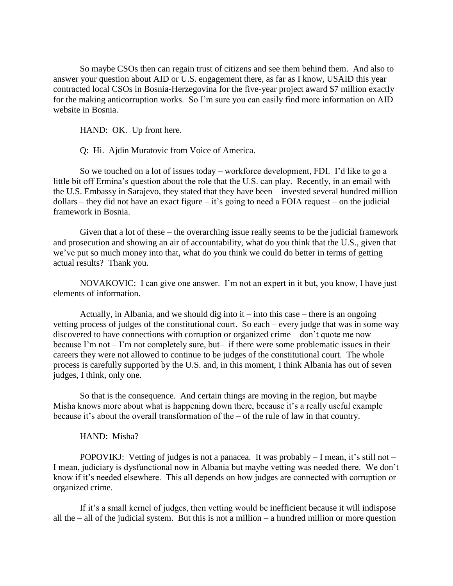So maybe CSOs then can regain trust of citizens and see them behind them. And also to answer your question about AID or U.S. engagement there, as far as I know, USAID this year contracted local CSOs in Bosnia-Herzegovina for the five-year project award \$7 million exactly for the making anticorruption works. So I'm sure you can easily find more information on AID website in Bosnia.

HAND: OK. Up front here.

Q: Hi. Ajdin Muratovic from Voice of America.

So we touched on a lot of issues today – workforce development, FDI. I'd like to go a little bit off Ermina's question about the role that the U.S. can play. Recently, in an email with the U.S. Embassy in Sarajevo, they stated that they have been – invested several hundred million dollars – they did not have an exact figure – it's going to need a FOIA request – on the judicial framework in Bosnia.

Given that a lot of these – the overarching issue really seems to be the judicial framework and prosecution and showing an air of accountability, what do you think that the U.S., given that we've put so much money into that, what do you think we could do better in terms of getting actual results? Thank you.

NOVAKOVIC: I can give one answer. I'm not an expert in it but, you know, I have just elements of information.

Actually, in Albania, and we should dig into it  $-$  into this case  $-$  there is an ongoing vetting process of judges of the constitutional court. So each – every judge that was in some way discovered to have connections with corruption or organized crime – don't quote me now because I'm not – I'm not completely sure, but– if there were some problematic issues in their careers they were not allowed to continue to be judges of the constitutional court. The whole process is carefully supported by the U.S. and, in this moment, I think Albania has out of seven judges, I think, only one.

So that is the consequence. And certain things are moving in the region, but maybe Misha knows more about what is happening down there, because it's a really useful example because it's about the overall transformation of the – of the rule of law in that country.

#### HAND: Misha?

POPOVIKJ: Vetting of judges is not a panacea. It was probably – I mean, it's still not – I mean, judiciary is dysfunctional now in Albania but maybe vetting was needed there. We don't know if it's needed elsewhere. This all depends on how judges are connected with corruption or organized crime.

If it's a small kernel of judges, then vetting would be inefficient because it will indispose all the  $-$  all of the judicial system. But this is not a million  $-$  a hundred million or more question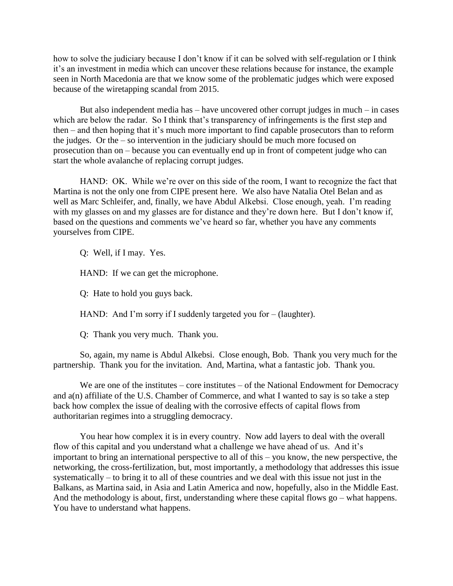how to solve the judiciary because I don't know if it can be solved with self-regulation or I think it's an investment in media which can uncover these relations because for instance, the example seen in North Macedonia are that we know some of the problematic judges which were exposed because of the wiretapping scandal from 2015.

But also independent media has – have uncovered other corrupt judges in much – in cases which are below the radar. So I think that's transparency of infringements is the first step and then – and then hoping that it's much more important to find capable prosecutors than to reform the judges. Or the – so intervention in the judiciary should be much more focused on prosecution than on – because you can eventually end up in front of competent judge who can start the whole avalanche of replacing corrupt judges.

HAND: OK. While we're over on this side of the room, I want to recognize the fact that Martina is not the only one from CIPE present here. We also have Natalia Otel Belan and as well as Marc Schleifer, and, finally, we have Abdul Alkebsi. Close enough, yeah. I'm reading with my glasses on and my glasses are for distance and they're down here. But I don't know if, based on the questions and comments we've heard so far, whether you have any comments yourselves from CIPE.

Q: Well, if I may. Yes.

HAND: If we can get the microphone.

Q: Hate to hold you guys back.

HAND: And I'm sorry if I suddenly targeted you for – (laughter).

Q: Thank you very much. Thank you.

So, again, my name is Abdul Alkebsi. Close enough, Bob. Thank you very much for the partnership. Thank you for the invitation. And, Martina, what a fantastic job. Thank you.

We are one of the institutes – core institutes – of the National Endowment for Democracy and a(n) affiliate of the U.S. Chamber of Commerce, and what I wanted to say is so take a step back how complex the issue of dealing with the corrosive effects of capital flows from authoritarian regimes into a struggling democracy.

You hear how complex it is in every country. Now add layers to deal with the overall flow of this capital and you understand what a challenge we have ahead of us. And it's important to bring an international perspective to all of this – you know, the new perspective, the networking, the cross-fertilization, but, most importantly, a methodology that addresses this issue systematically – to bring it to all of these countries and we deal with this issue not just in the Balkans, as Martina said, in Asia and Latin America and now, hopefully, also in the Middle East. And the methodology is about, first, understanding where these capital flows go – what happens. You have to understand what happens.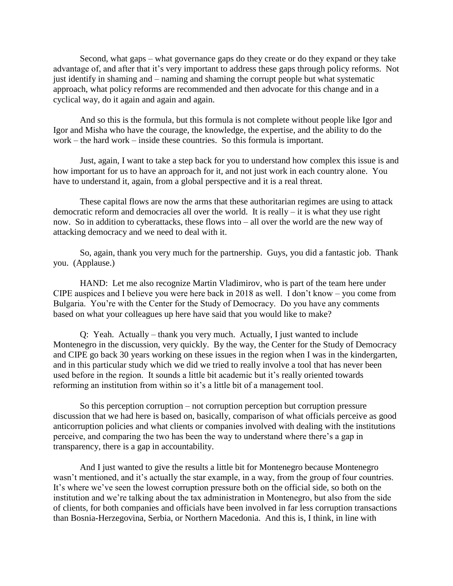Second, what gaps – what governance gaps do they create or do they expand or they take advantage of, and after that it's very important to address these gaps through policy reforms. Not just identify in shaming and – naming and shaming the corrupt people but what systematic approach, what policy reforms are recommended and then advocate for this change and in a cyclical way, do it again and again and again.

And so this is the formula, but this formula is not complete without people like Igor and Igor and Misha who have the courage, the knowledge, the expertise, and the ability to do the work – the hard work – inside these countries. So this formula is important.

Just, again, I want to take a step back for you to understand how complex this issue is and how important for us to have an approach for it, and not just work in each country alone. You have to understand it, again, from a global perspective and it is a real threat.

These capital flows are now the arms that these authoritarian regimes are using to attack democratic reform and democracies all over the world. It is really – it is what they use right now. So in addition to cyberattacks, these flows into – all over the world are the new way of attacking democracy and we need to deal with it.

So, again, thank you very much for the partnership. Guys, you did a fantastic job. Thank you. (Applause.)

HAND: Let me also recognize Martin Vladimirov, who is part of the team here under CIPE auspices and I believe you were here back in 2018 as well. I don't know – you come from Bulgaria. You're with the Center for the Study of Democracy. Do you have any comments based on what your colleagues up here have said that you would like to make?

Q: Yeah. Actually – thank you very much. Actually, I just wanted to include Montenegro in the discussion, very quickly. By the way, the Center for the Study of Democracy and CIPE go back 30 years working on these issues in the region when I was in the kindergarten, and in this particular study which we did we tried to really involve a tool that has never been used before in the region. It sounds a little bit academic but it's really oriented towards reforming an institution from within so it's a little bit of a management tool.

So this perception corruption – not corruption perception but corruption pressure discussion that we had here is based on, basically, comparison of what officials perceive as good anticorruption policies and what clients or companies involved with dealing with the institutions perceive, and comparing the two has been the way to understand where there's a gap in transparency, there is a gap in accountability.

And I just wanted to give the results a little bit for Montenegro because Montenegro wasn't mentioned, and it's actually the star example, in a way, from the group of four countries. It's where we've seen the lowest corruption pressure both on the official side, so both on the institution and we're talking about the tax administration in Montenegro, but also from the side of clients, for both companies and officials have been involved in far less corruption transactions than Bosnia-Herzegovina, Serbia, or Northern Macedonia. And this is, I think, in line with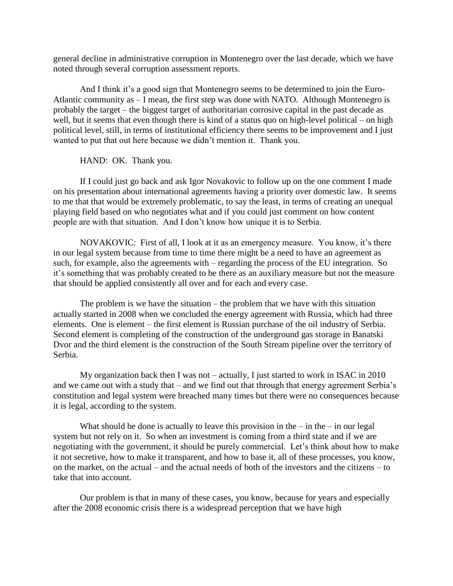general decline in administrative corruption in Montenegro over the last decade, which we have noted through several corruption assessment reports.

And I think it's a good sign that Montenegro seems to be determined to join the Euro-Atlantic community as – I mean, the first step was done with NATO. Although Montenegro is probably the target – the biggest target of authoritarian corrosive capital in the past decade as well, but it seems that even though there is kind of a status quo on high-level political – on high political level, still, in terms of institutional efficiency there seems to be improvement and I just wanted to put that out here because we didn't mention it. Thank you.

## HAND: OK. Thank you.

If I could just go back and ask Igor Novakovic to follow up on the one comment I made on his presentation about international agreements having a priority over domestic law. It seems to me that that would be extremely problematic, to say the least, in terms of creating an unequal playing field based on who negotiates what and if you could just comment on how content people are with that situation. And I don't know how unique it is to Serbia.

NOVAKOVIC: First of all, I look at it as an emergency measure. You know, it's there in our legal system because from time to time there might be a need to have an agreement as such, for example, also the agreements with – regarding the process of the EU integration. So it's something that was probably created to be there as an auxiliary measure but not the measure that should be applied consistently all over and for each and every case.

The problem is we have the situation – the problem that we have with this situation actually started in 2008 when we concluded the energy agreement with Russia, which had three elements. One is element – the first element is Russian purchase of the oil industry of Serbia. Second element is completing of the construction of the underground gas storage in Banatski Dvor and the third element is the construction of the South Stream pipeline over the territory of Serbia.

My organization back then I was not – actually, I just started to work in ISAC in 2010 and we came out with a study that – and we find out that through that energy agreement Serbia's constitution and legal system were breached many times but there were no consequences because it is legal, according to the system.

What should be done is actually to leave this provision in the  $-$  in the  $-$  in our legal system but not rely on it. So when an investment is coming from a third state and if we are negotiating with the government, it should be purely commercial. Let's think about how to make it not secretive, how to make it transparent, and how to base it, all of these processes, you know, on the market, on the actual – and the actual needs of both of the investors and the citizens – to take that into account.

Our problem is that in many of these cases, you know, because for years and especially after the 2008 economic crisis there is a widespread perception that we have high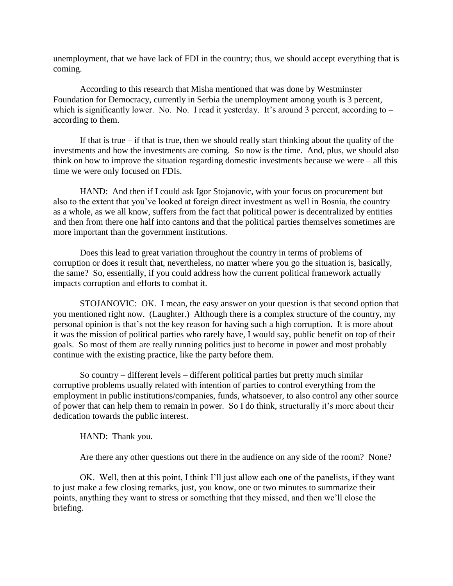unemployment, that we have lack of FDI in the country; thus, we should accept everything that is coming.

According to this research that Misha mentioned that was done by Westminster Foundation for Democracy, currently in Serbia the unemployment among youth is 3 percent, which is significantly lower. No. No. I read it yesterday. It's around 3 percent, according to – according to them.

If that is true – if that is true, then we should really start thinking about the quality of the investments and how the investments are coming. So now is the time. And, plus, we should also think on how to improve the situation regarding domestic investments because we were – all this time we were only focused on FDIs.

HAND: And then if I could ask Igor Stojanovic, with your focus on procurement but also to the extent that you've looked at foreign direct investment as well in Bosnia, the country as a whole, as we all know, suffers from the fact that political power is decentralized by entities and then from there one half into cantons and that the political parties themselves sometimes are more important than the government institutions.

Does this lead to great variation throughout the country in terms of problems of corruption or does it result that, nevertheless, no matter where you go the situation is, basically, the same? So, essentially, if you could address how the current political framework actually impacts corruption and efforts to combat it.

STOJANOVIC: OK. I mean, the easy answer on your question is that second option that you mentioned right now. (Laughter.) Although there is a complex structure of the country, my personal opinion is that's not the key reason for having such a high corruption. It is more about it was the mission of political parties who rarely have, I would say, public benefit on top of their goals. So most of them are really running politics just to become in power and most probably continue with the existing practice, like the party before them.

So country – different levels – different political parties but pretty much similar corruptive problems usually related with intention of parties to control everything from the employment in public institutions/companies, funds, whatsoever, to also control any other source of power that can help them to remain in power. So I do think, structurally it's more about their dedication towards the public interest.

HAND: Thank you.

Are there any other questions out there in the audience on any side of the room? None?

OK. Well, then at this point, I think I'll just allow each one of the panelists, if they want to just make a few closing remarks, just, you know, one or two minutes to summarize their points, anything they want to stress or something that they missed, and then we'll close the briefing.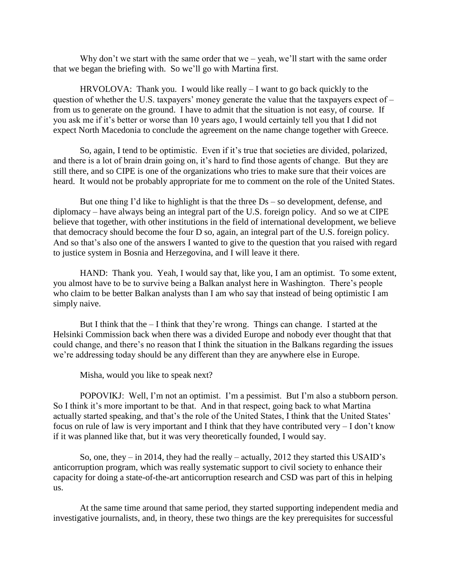Why don't we start with the same order that we – yeah, we'll start with the same order that we began the briefing with. So we'll go with Martina first.

HRVOLOVA: Thank you. I would like really – I want to go back quickly to the question of whether the U.S. taxpayers' money generate the value that the taxpayers expect of – from us to generate on the ground. I have to admit that the situation is not easy, of course. If you ask me if it's better or worse than 10 years ago, I would certainly tell you that I did not expect North Macedonia to conclude the agreement on the name change together with Greece.

So, again, I tend to be optimistic. Even if it's true that societies are divided, polarized, and there is a lot of brain drain going on, it's hard to find those agents of change. But they are still there, and so CIPE is one of the organizations who tries to make sure that their voices are heard. It would not be probably appropriate for me to comment on the role of the United States.

But one thing I'd like to highlight is that the three Ds – so development, defense, and diplomacy – have always being an integral part of the U.S. foreign policy. And so we at CIPE believe that together, with other institutions in the field of international development, we believe that democracy should become the four D so, again, an integral part of the U.S. foreign policy. And so that's also one of the answers I wanted to give to the question that you raised with regard to justice system in Bosnia and Herzegovina, and I will leave it there.

HAND: Thank you. Yeah, I would say that, like you, I am an optimist. To some extent, you almost have to be to survive being a Balkan analyst here in Washington. There's people who claim to be better Balkan analysts than I am who say that instead of being optimistic I am simply naive.

But I think that the  $-$  I think that they're wrong. Things can change. I started at the Helsinki Commission back when there was a divided Europe and nobody ever thought that that could change, and there's no reason that I think the situation in the Balkans regarding the issues we're addressing today should be any different than they are anywhere else in Europe.

Misha, would you like to speak next?

POPOVIKJ: Well, I'm not an optimist. I'm a pessimist. But I'm also a stubborn person. So I think it's more important to be that. And in that respect, going back to what Martina actually started speaking, and that's the role of the United States, I think that the United States' focus on rule of law is very important and I think that they have contributed very – I don't know if it was planned like that, but it was very theoretically founded, I would say.

So, one, they – in 2014, they had the really – actually, 2012 they started this USAID's anticorruption program, which was really systematic support to civil society to enhance their capacity for doing a state-of-the-art anticorruption research and CSD was part of this in helping us.

At the same time around that same period, they started supporting independent media and investigative journalists, and, in theory, these two things are the key prerequisites for successful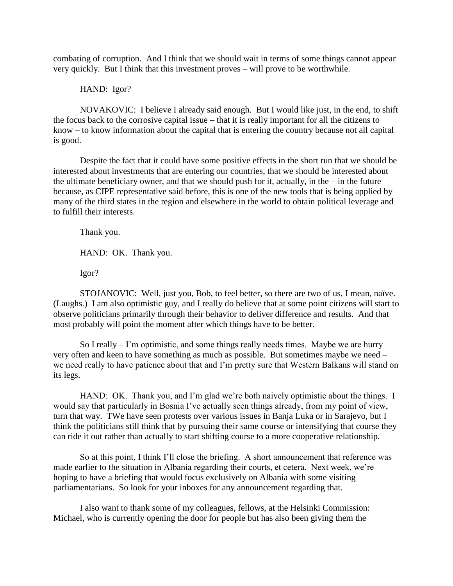combating of corruption. And I think that we should wait in terms of some things cannot appear very quickly. But I think that this investment proves – will prove to be worthwhile.

## HAND: Igor?

NOVAKOVIC: I believe I already said enough. But I would like just, in the end, to shift the focus back to the corrosive capital issue – that it is really important for all the citizens to know – to know information about the capital that is entering the country because not all capital is good.

Despite the fact that it could have some positive effects in the short run that we should be interested about investments that are entering our countries, that we should be interested about the ultimate beneficiary owner, and that we should push for it, actually, in the  $-$  in the future because, as CIPE representative said before, this is one of the new tools that is being applied by many of the third states in the region and elsewhere in the world to obtain political leverage and to fulfill their interests.

Thank you.

HAND: OK. Thank you.

Igor?

STOJANOVIC: Well, just you, Bob, to feel better, so there are two of us, I mean, naïve. (Laughs.) I am also optimistic guy, and I really do believe that at some point citizens will start to observe politicians primarily through their behavior to deliver difference and results. And that most probably will point the moment after which things have to be better.

So I really – I'm optimistic, and some things really needs times. Maybe we are hurry very often and keen to have something as much as possible. But sometimes maybe we need – we need really to have patience about that and I'm pretty sure that Western Balkans will stand on its legs.

HAND: OK. Thank you, and I'm glad we're both naively optimistic about the things. I would say that particularly in Bosnia I've actually seen things already, from my point of view, turn that way. TWe have seen protests over various issues in Banja Luka or in Sarajevo, but I think the politicians still think that by pursuing their same course or intensifying that course they can ride it out rather than actually to start shifting course to a more cooperative relationship.

So at this point, I think I'll close the briefing. A short announcement that reference was made earlier to the situation in Albania regarding their courts, et cetera. Next week, we're hoping to have a briefing that would focus exclusively on Albania with some visiting parliamentarians. So look for your inboxes for any announcement regarding that.

I also want to thank some of my colleagues, fellows, at the Helsinki Commission: Michael, who is currently opening the door for people but has also been giving them the